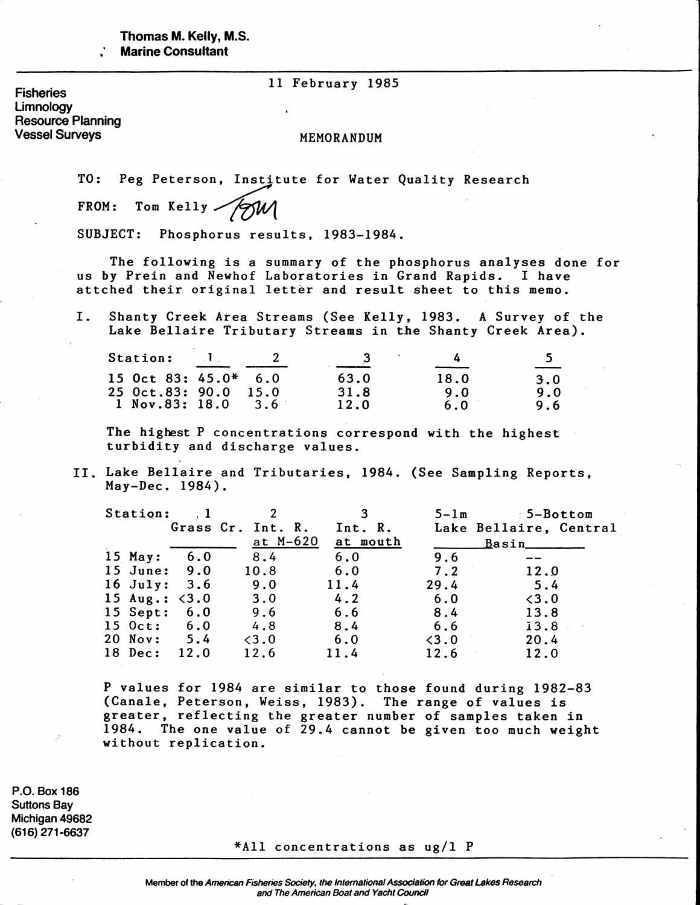# Thomas M. Kelly, M.S. **Marine Consultant**

## 11 February 1985

**Fisheries Limnology Resource Planning Vessel Surveys**

## MEMORANDUM

TO: Peg Peterson, Institute for Water Quality Research

FROM: Tom Kelly

SUBJECT: Phosphorus results, 1983-1984.

The following is a summary of the phosphorus analyses done for us by Prein and Newhof Laboratories in Grand Rapids. I have attched their original letter and result sheet to this memo.

I. Shanty Creek Area Streams (See Kelly, 1983. A Survey of the Lake Bellaire Tributary Streams in the Shanty Creek Area).

| <b>Station:</b>                                   | $\mathbf{1}$ |                  |              |             | -5.<br>______ |
|---------------------------------------------------|--------------|------------------|--------------|-------------|---------------|
| <b>15 Oct 83: 45.0*</b><br><b>25 Oct.83: 90.0</b> |              | 6.0<br>15.0      | 63.0<br>31.8 | 18.0<br>9.0 | 3.0<br>9.0    |
| 1 Nov.83: 18.0                                    |              | 3.6 <sup>°</sup> | 12.0         | 6.0         | 9.6           |

The highest P concentrations correspond with the highest turbidity and discharge values.

II. Lake Bellaire and Tributaries, 1984. (See Sampling Reports, May-Dee. 1984).

| Station:               |      | 2                 |          | $5 - 1$ m     | $5 - Bottom$           |
|------------------------|------|-------------------|----------|---------------|------------------------|
|                        |      | Grass Cr. Int. R. | Int. R.  |               | Lake Bellaire, Central |
|                        |      | at M-620          | at mouth |               | <u>Basin ________</u>  |
| 15 May:                | 6.0  | 8.4               | 6.0      | 9.6           |                        |
| 15 June: 9.0           |      | 10.8              | 6.0      | 7.2           | 12.0                   |
| $16$ July: 3.6         |      | 9.0               | 11.4     | 29.4          | 5.4                    |
| 15 Aug.: $\langle 3.0$ |      | 3.0               | 4.2      | 6.0           | < 3.0                  |
| 15 Sept:               | 6.0  | 9.6               | 6.6      | 8.4           | 13.8                   |
| 15 Oct: 6.0            |      | 4.8               | 8.4      | 6.6           | 13.8                   |
| 20 Nov:                | 5.4  | $\langle 3.0$     | 6.0      | $\langle 3.0$ | 20.4                   |
| 18 Dec:                | 12.0 | 12.6              | 11.4     | 12.6          | 12.0                   |

P values for 1984 are similar to those found during 1982-83 (Canale, Peterson, Weiss, 1983). The range of values is greater, reflecting the greater number of samples taken in 1984. The one value of 29.4 cannot be given too much weight without replication.

**P.O. Box 186 Suttons Bay Michigan 49682 (616)271-6637**

#### \*A11 concentrations as ug/1 P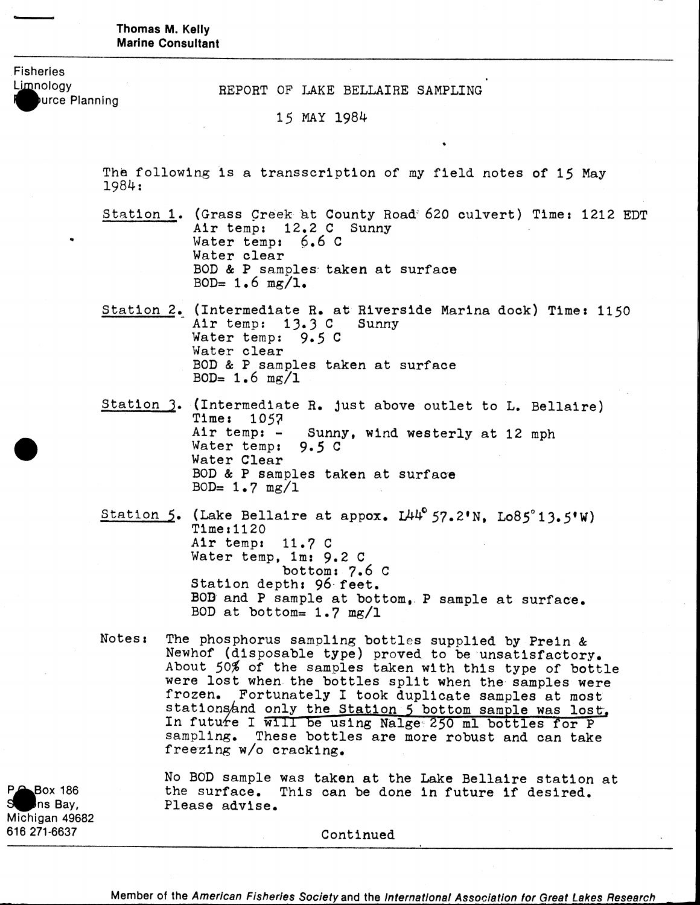Thomas M. Kelly **Marine Consultant** 

**Fisheries**

**Iource Planning** 

Limnology REPORT OF LAKE BELLAIRE SAMPLING

15 MAY 1984

The following is a transscription of my field notes of 15 May 1984s

Station 1. (Grass Creek at County Road' 620 culvert) Time: 1212 EDT Air temp: 12.2 C Sunny Water temp:  $6.6$  C Water clear BOD & P samples taken at surface BOD=  $1.6$  mg/l.

- Station 2. (Intermediate R. at Riverside Marina dock) Time: 1150 Air temp:  $13.3$  C Sunny Water temp:  $9.5 C$ Water clear BOD & P samples taken at surface BOD=  $1.6$  mg/1
- Station 3. (Intermediate R. just above outlet to L. Bellaire) Time: 105? Air temp:  $-$  Sunny, wind westerly at 12 mph Water temp: 9.5 C Water Clear BOD & P samples taken at surface BOD=  $1.7 \text{ mg}/1$
- Station 5. (Lake Bellaire at appox.  $L44^{\circ}$  57.2'N. Lo85°13.5'W)  $Time:1120$ Air temp: 11.7 C Water temp, 1m: 9.2 C bottom:  $7.6$  C Station depth: 96 feet. BOD and P sample at bottom,. P sample at surface. BOD at bottom=  $1.7 \text{ mg}/1$
- Notes: The phosphorus sampling bottles supplied by Prein & Newhof (disposable type) proved to be unsatisfactory. About 50% of the samples taken with this type of bottle were lost when the bottles split when the samples were frozen. Fortunately I took duplicate samples at most stations and only the Station 5 bottom sample was lost. In future I will be using Nalge 250 ml bottles for P sampling. These bottles are more robust and can take freezing w/o cracking.

**Michigan 49682** 616 271-6637 Continued

No BOD sample was taken at the Lake Bellaire station at P^Box 186 the surface. This can be done in future if desired.<br>Some Bay, the Please advise. Please advise.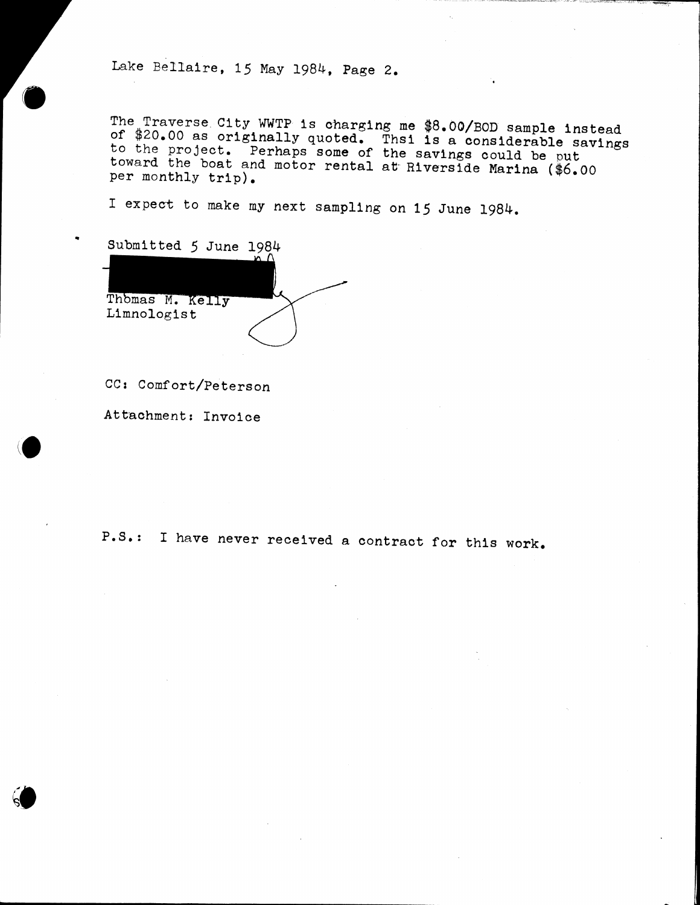Lake Bellaire, 15 May 1984, Page 2

ine inaverse City wwip is charging me \$8.00/BOD sample instead of 120.00 as originally quoted. Thsi is a considerable savings *IndA* Project. Perhaps some of the savings could be put toward the boat and motor rental at Riverside Marina (\$6.00<br>per monthly trip).

I expect to make my next sampling on 15 June 1984.



CC: Comfort/Peterson

Attachment: Invoice

P.S.: I have never received a contract for this work.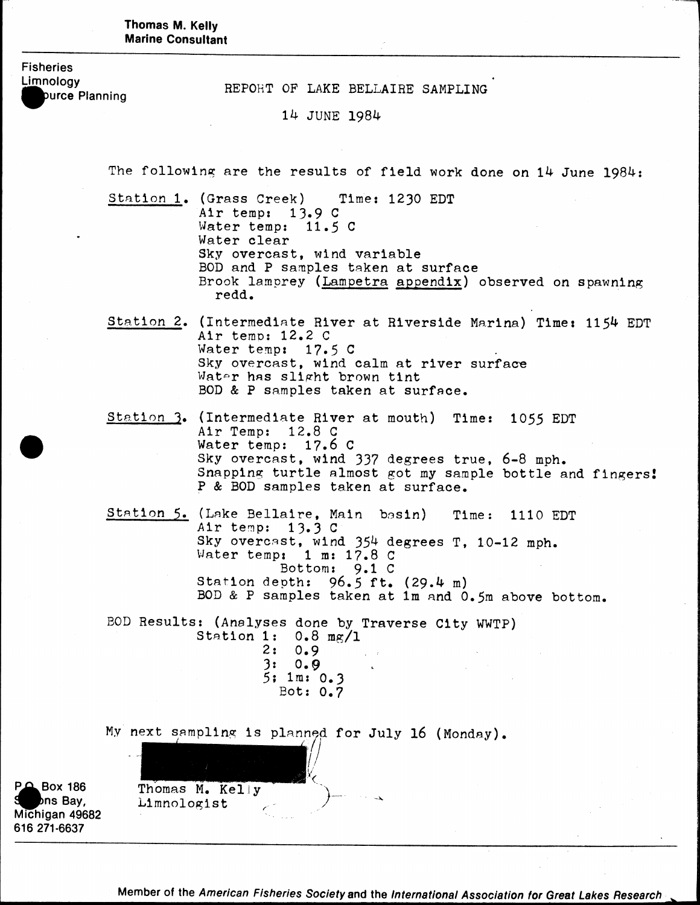Thomas M. Kelly **Marine Consultant** 

**Fisheries**

Limnology<br>
REPORT OF LAKE BELLAIRE SAMPLING<br> **A**purce Planning

14 JUNE 1984

The following are the results of field work done on 14 June 1984:

Station 1. (Grass Creek) Time: 1230 EDT Air temp:  $13.9 C$ Water temp:  $11.5$  C Water clear Sky overcast, wind variable BOD and P samples taken at surface Brook lamprey (Lampetra appendix) observed on spawning redd.

Station 2. (Intermediate River at Riverside Marina) Time: 1154 EDT Air temp:  $12.2$  C Water temp:  $17.5$  C  $\qquad \qquad$ Sky overcast, wind calm at river surface Water has slight brown tint BOD & P samples taken at surface.

Station 3. (Intermediate River at mouth) Time: 1055 EDT Air Temp: 12.8 G Water temp: 17.6 C Sky overcast, wind 337 degrees true, 6-8 mph. Snapping turtle almost got my sample bottle and fingers! P & BOD samples taken at surface.

Station 5. (Lake Bellaire, Main basin) Time: 1110 EDT Air temp: 13.3 C Sky overcast, wind 354 degrees T, 10-12 mph. Water temp: 1 m: 17.8 C Bottom:  $9.1 \text{ C}$ Station depth: 96.5 ft. (29.4 m) BOD & P samples taken at lm and 0.5m above bottom,

BOD Results: (Analyses done by Traverse City WWTP) S tation 1: 0.8 mg/1 2: 0.9  $3: 0.9$ 5; lm: 0.3

Bot: 0.7

My next sampling is planned for July 16 (Monday).

Thomas M. Keliy<br>Limnologist

**F** $\triangle$  Box 186 **^ ^ > n s Bay, Michigan 49682 616 271-6637**

Member of the American Fisheries Society and the International Association for Great Lakes Research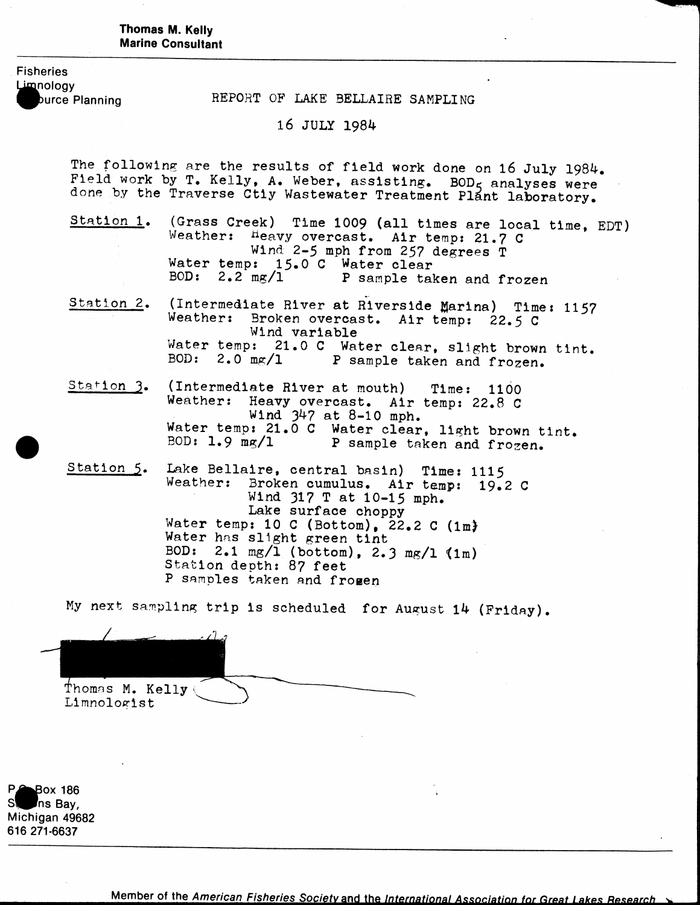### Thomas M. Kelly **Marine Consultant**

**Fisheries** Limnology

burce Planning **REPORT OF LAKE BELLAIRE SAMPLING** 

# 16 JULY 1984

The following are the results of field work done on 16 July 1984. Field work by T. Kelly, A. Weber, assisting. BOD<sub>5</sub> analyses were done by the Traverse Ctiy Wastewater Treatment Plant laboratory.

- Station 1. (Grass Creek) Time 1009 (all times are local time, EDT) Weather: Heavy overcast. Air temp: 21.7 C Wind 2-5 mph from 257 degrees T Water temp: 15.0 C Water clear<br>BOD: 2.2 mg/l P sample tal P sample taken and frozen
- Station 2, (Intermediate River at Riverside Marina) Time: 1157 Weather: Broken overcast. Air temp: 22.5 C Wind variable Water temp: 21.0 C Water clear, slight brown tint.<br>BOD: 2.0  $\text{mg}/1$  P sample taken and frozen. P sample taken and frozen.
- Station 3.  $(Intermediate River at mouth)$  Time: 1100 Weather: Heavy overcast. Air temp: 22.8 C Wind 347 at 8-10 mph. Water temp: 21.0 C Water clear, light brown tint.<br>BOD: 1.9 mg/1 P sample taken and frozen. P sample taken and frozen.
- Station 5. Lake Bellaire, central basin) Time: 1115 Weather: Broken cumulus. Air temp: 19.2 C Wind 317 T at 10-15 mph. Lake surface choppy Water temp: 10 C (Bottom),  $\bar{22.2}$  C (1m) Water has slight green tint BOD:  $2.1 \text{ mg/l}$  (bottom),  $2.3 \text{ mg/l}$  (1m) Station depth: 87 feet P samples taken and fromen

My next sampling trip is scheduled for August 14 (Friday).

Thomas M. Kelly ( Limnologist

**Pox 186 sf^Pns Bay, Michigan 49682 616 271-6637**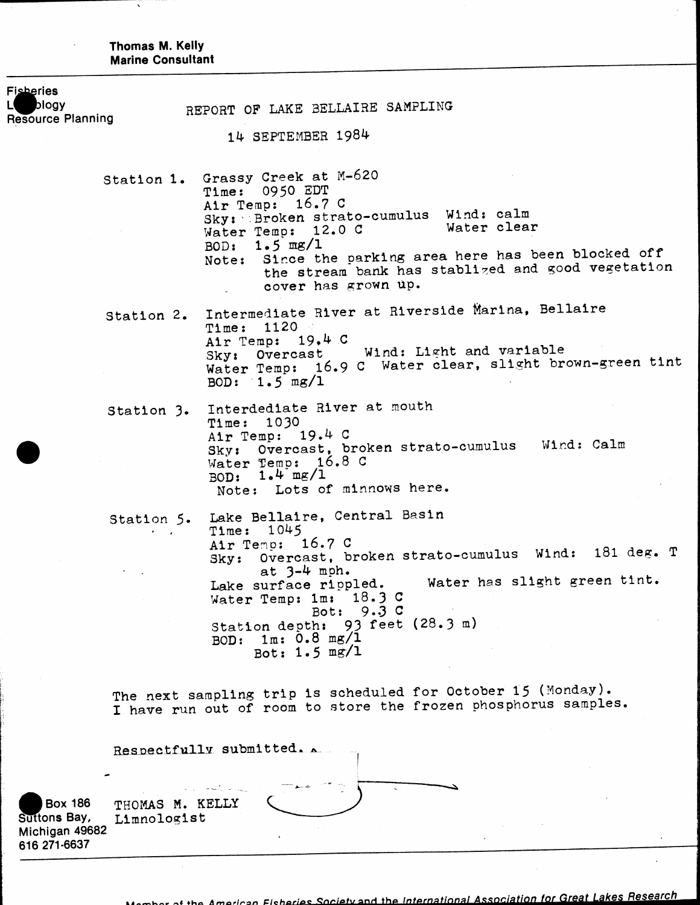**Thomas M. Kelly<br>Marine Consultant** 

 $\hat{\mathcal{A}}$ 

Ν

 $\ddot{\phantom{a}}$ 

| <b>Fisheries</b><br>blogy<br><b>Resource Planning</b>            | REPORT OF LAKE BELLAIRE SAMPLING                                                                                                                                                                                                                                                                                                                   |
|------------------------------------------------------------------|----------------------------------------------------------------------------------------------------------------------------------------------------------------------------------------------------------------------------------------------------------------------------------------------------------------------------------------------------|
|                                                                  | 14 SEPTEMBER 1984                                                                                                                                                                                                                                                                                                                                  |
|                                                                  | Station 1. Grassy Creek at M-620<br>Time: 0950 EDT<br>Air Temp: 16.7 C<br>Sky: Broken strato-cumulus Wind: calm<br>Water clear<br>Water Temp: 12.0 C<br>BOD: $1.5 \text{ mg}/1$<br>Note: Since the parking area here has been blocked off<br>the stream bank has stablized and good vegetation<br>cover has grown up.                              |
|                                                                  | Intermediate River at Riverside Marina, Bellaire<br>Station 2.<br>Time: 1120<br>Air Temp: 19,4 C<br>Sky: Overcast Wind: Light and variable<br>Water Temp: 16.9 C Water clear, slight brown-green tint<br>BOD: $1.5 \text{ mg}/1$                                                                                                                   |
|                                                                  | Interdediate River at mouth<br>Station 3.<br>Time: 1030<br>Air Temp: 19.4 C<br>Sky: Overcast, broken strato-cumulus Wind: Calm<br>Water Temp: 16.8 C<br>BOD: $1.4 \text{ mg}/1$<br>Note: Lots of minnows here.                                                                                                                                     |
|                                                                  | Station 5. Lake Bellaire, Central Basin<br>Time: 1045<br>Air Temp: 16.7 C<br>Sky: Overcast, broken strato-cumulus Wind: 181 deg. T<br>at $3-4$ mph.<br>Water has slight green tint.<br>Lake surface rippled.<br>18.3c<br>Water Temp: 1m:<br>9.3 <sup>c</sup><br>Bot:<br>Station depth: 93 feet (28.3 m)<br>1m: 0.8 mg/1<br>BOD:<br>Bot: $1.5$ mg/1 |
|                                                                  | The next sampling trip is scheduled for October 15 (Monday).<br>I have run out of room to store the frozen phosphorus samples.<br>Respectfully submitted.                                                                                                                                                                                          |
| <b>Box 186</b><br>Suttons Bay,<br>Michigan 49682<br>616 271-6637 | THOMAS M. KELLY<br>Limnologist                                                                                                                                                                                                                                                                                                                     |

omber of the American Eisheries Society and the International Association for Great Lakes Research

 $\ddot{\phantom{a}}$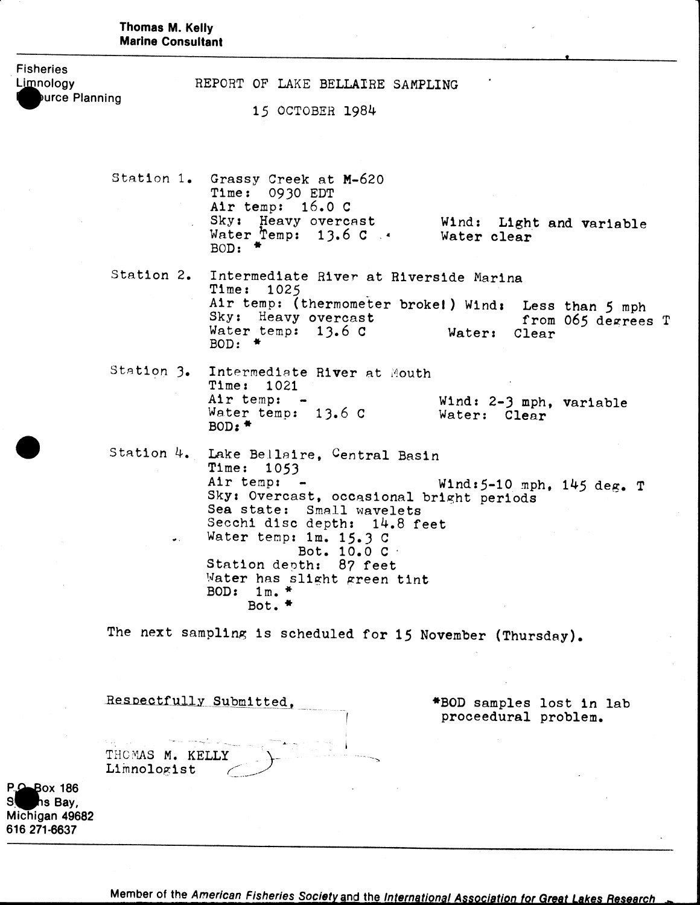|                                                           | Thomas M. Kelly<br><b>Marine Consultant</b>                                                                                                                                                                                |
|-----------------------------------------------------------|----------------------------------------------------------------------------------------------------------------------------------------------------------------------------------------------------------------------------|
| <b>Fisheries</b><br>Limnology<br>Durce Planning           | REPORT OF LAKE BELLAIRE SAMPLING<br>15 OCTOBER 1984                                                                                                                                                                        |
|                                                           | Station 1. Grassy Creek at M-620<br>Time: 0930 EDT<br>Air temp: $16.0 C$<br>Sky: Heavy overcast<br>Wind: Light and variable<br>Water Temp: $13.6 \text{ C}$ .<br>Water clear<br>BOD: $*$                                   |
|                                                           | Station 2. Intermediate River at Riverside Marina<br>Time: 1025<br>Air temp: (thermometer broke!) Wind: Less than 5 mph<br>Sky: Heavy overcast<br>from 065 degrees T<br>Water temp: $13.6C$<br>Water:<br>Clear<br>BOD: $*$ |
|                                                           | Station 3. Intermediate River at Mouth<br>Time: 1021<br>Air temp: -<br>Wind: 2-3 mph, variable<br>Water temp: 13.6 C<br>Water: Clear<br>BOD: $*$                                                                           |
|                                                           | Station 4. Lake Bellaire, Central Basin<br>Time: 1053<br>Air temp: -<br>Wind: 5-10 mph, 145 deg. T<br>Sky: Overcast, occasional bright periods<br>Sea state: Small wavelets<br>Secchi disc depth: 14.8 feet                |
|                                                           | Water temp: 1m. 15.3 C<br>Bot. 10.0 C ·<br>Station depth: 87 feet<br>Water has slight green tint<br>BOD: $1m.$ *<br>Bot. $*$                                                                                               |
|                                                           | The next sampling is scheduled for 15 November (Thursday).                                                                                                                                                                 |
|                                                           | Respectfully Submitted,<br>*BOD samples lost in lab<br>proceedural problem.<br>THOMAS M. KELLY<br>Limnologist                                                                                                              |
| P.O. Box 186<br>hs Bay,<br>Michigan 49682<br>616 271-6637 |                                                                                                                                                                                                                            |

Member of the American Fisheries Society and the International Association for Great Lakes Research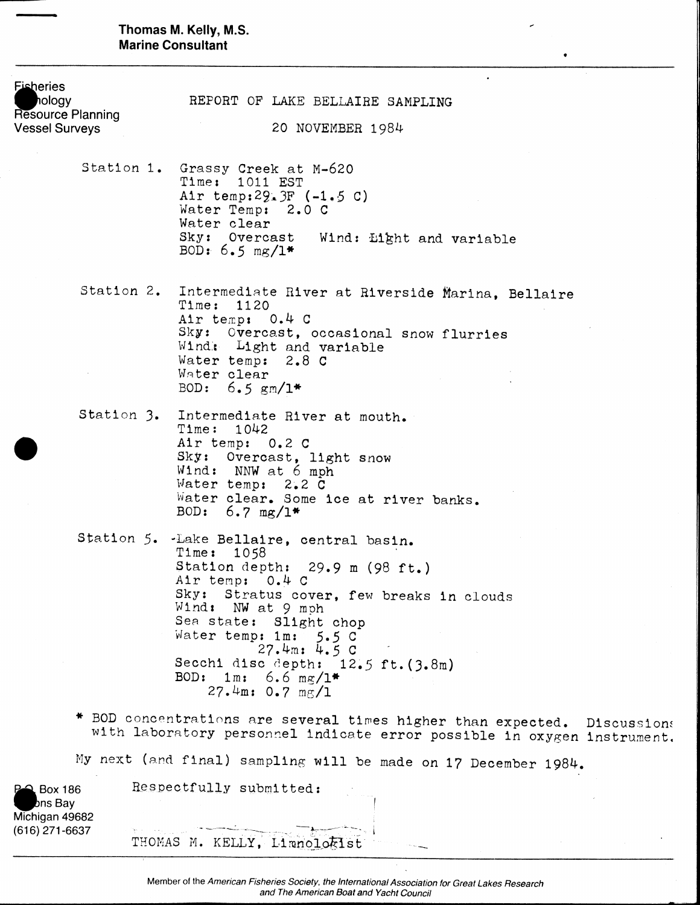Thomas M. Kelly, M.S. **Marine Consultant** 

| <b>Fisheries</b>                                                  |                                                                                                                                                                                                                                                                                                                                 |
|-------------------------------------------------------------------|---------------------------------------------------------------------------------------------------------------------------------------------------------------------------------------------------------------------------------------------------------------------------------------------------------------------------------|
| hology<br>Resource Planning                                       | REPORT OF LAKE BELLAIRE SAMPLING                                                                                                                                                                                                                                                                                                |
| <b>Vessel Surveys</b>                                             | 20 NOVEMBER 1984                                                                                                                                                                                                                                                                                                                |
|                                                                   | Station 1. Grassy Creek at M-620<br>Time: 1011 EST<br>Air temp: $29.3F$ (-1.5 C)<br>Water Temp: 2.0 C<br>Water clear<br>Sky: Overcast Wind: Light and variable<br>BOD: $6.5 \text{ mg}/1*$                                                                                                                                      |
|                                                                   | Station 2. Intermediate River at Riverside Marina, Bellaire<br>Time:<br>1120<br>Air temp: 0.4 C<br>Sky: Overcast, occasional snow flurries<br>Wind: Light and variable                                                                                                                                                          |
|                                                                   | Water temp: 2.8 C<br>Water clear<br>BOD: $6.5 \text{ gm}/1*$                                                                                                                                                                                                                                                                    |
|                                                                   | Station 3. Intermediate River at mouth.<br>Time: 1042<br>Air temp: 0.2 C<br>Sky: Overcast, light snow<br>Wind: NNW at 6 mph<br>Water temp: 2.2 C<br>Water clear. Some ice at river banks.<br>BOD: $6.7 \text{ mg}/1*$                                                                                                           |
|                                                                   | Station 5. Lake Bellaire, central basin.<br>Time: 1058<br>Station depth: 29.9 m (98 ft.)<br>Air temp: 0.4 C<br>Sky: Stratus cover, few breaks in clouds<br>Wind: NW at 9 mph<br>Sea state: Slight chop<br>Water temp: 1m: 5.5 C<br>27.4m: 4.5C<br>Secchi disc depth: 12.5 ft. (3.8m)<br>BOD: $1m: 6.6 mg/l*$<br>27.4m: 0.7 mg/1 |
|                                                                   | BOD concentrations are several times higher than expected. Discussions<br>with laboratory personnel indicate error possible in oxygen instrument.                                                                                                                                                                               |
|                                                                   | My next (and final) sampling will be made on 17 December 1984.                                                                                                                                                                                                                                                                  |
| <b>P-2</b> Box 186<br>bns Bay<br>Michigan 49682<br>(616) 271-6637 | Respectfully submitted:                                                                                                                                                                                                                                                                                                         |

 $\bullet$ 

Member of the American Fisheries Society, the International Association for Great Lakes Research<br>and The American Boat and Yacht Council

**THOMAS M. KELLY, Limnolo^lst**